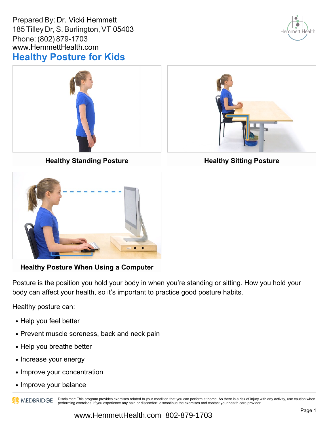Prepared By: Dr. Vicki Hemmett 185 Tilley Dr, S. Burlington, VT 05403 Phone: (802) 879-1703 www.HemmettHealth.com **Healthy Posture for Kids**





**Healthy Standing Posture**



**Healthy Posture When Using a Computer**

Posture is the position you hold your body in when you're standing or sitting. How you hold your body can affect your health, so it's important to practice good posture habits.

Healthy posture can:

- Help you feel better
- Prevent muscle soreness, back and neck pain
- Help you breathe better
- Increase your energy
- Improve your concentration
- Improve your balance

Disclaimer: This program provides exercises related to your condition that you can perform at home. As there is a risk of injury with any activity, use caution when **AN MEDBRIDGE** performing exercises. If you experience any pain or discomfort, discontinue the exercises and contact your health care provider.



**Healthy Sitting Posture**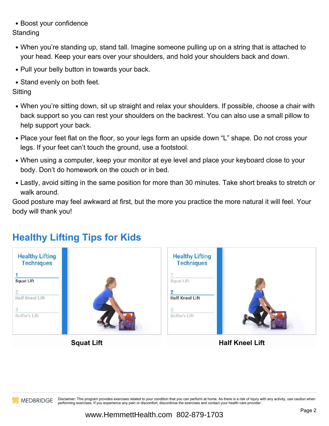Boost your confidence

**Standing** 

- When you're standing up, stand tall. Imagine someone pulling up on a string that is attached to your head. Keep your ears over your shoulders, and hold your shoulders back and down.
- Pull your belly button in towards your back.
- Stand evenly on both feet.

**Sitting** 

- When you're sitting down, sit up straight and relax your shoulders. If possible, choose a chair with back support so you can rest your shoulders on the backrest. You can also use a small pillow to help support your back.
- Place your feet flat on the floor, so your legs form an upside down "L" shape. Do not cross your legs. If your feet can't touch the ground, use a footstool.
- When using a computer, keep your monitor at eye level and place your keyboard close to your body. Don't do homework on the couch or in bed.
- Lastly, avoid sitting in the same position for more than 30 minutes. Take short breaks to stretch or walk around.

Good posture may feel awkward at first, but the more you practice the more natural it will feel. Your body will thank you!



## **Healthy Lifting Tips for Kids**

**Squat Lift**

**Half Kneel Lift**



Disclaimer: This program provides exercises related to your condition that you can perform at home. As there is a risk of injury with any activity, use caution when performing exercises. If you experience any pain or discomfort, discontinue the exercises and contact your health care provider.

www.HemmettHealth.com 802-879-1703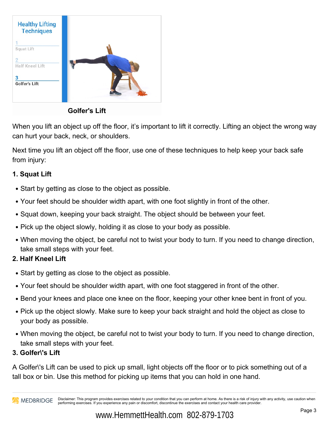

**Golfer's Lift**

When you lift an object up off the floor, it's important to lift it correctly. Lifting an object the wrong way can hurt your back, neck, or shoulders.

Next time you lift an object off the floor, use one of these techniques to help keep your back safe from injury:

### **1. Squat Lift**

- Start by getting as close to the object as possible.
- Your feet should be shoulder width apart, with one foot slightly in front of the other.
- Squat down, keeping your back straight. The object should be between your feet.
- Pick up the object slowly, holding it as close to your body as possible.
- When moving the object, be careful not to twist your body to turn. If you need to change direction, take small steps with your feet.

## **2. Half Kneel Lift**

- Start by getting as close to the object as possible.
- Your feet should be shoulder width apart, with one foot staggered in front of the other.
- Bend your knees and place one knee on the floor, keeping your other knee bent in front of you.
- Pick up the object slowly. Make sure to keep your back straight and hold the object as close to your body as possible.
- When moving the object, be careful not to twist your body to turn. If you need to change direction, take small steps with your feet.
- **3. Golfer\'s Lift**

A Golfer's Lift can be used to pick up small, light objects off the floor or to pick something out of a tall box or bin. Use this method for picking up items that you can hold in one hand.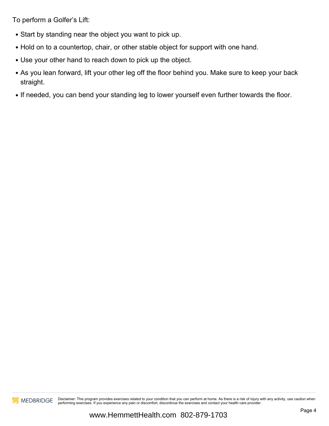To perform a Golfer's Lift:

- Start by standing near the object you want to pick up.
- Hold on to a countertop, chair, or other stable object for support with one hand.
- Use your other hand to reach down to pick up the object.
- As you lean forward, lift your other leg off the floor behind you. Make sure to keep your back straight.
- If needed, you can bend your standing leg to lower yourself even further towards the floor.



**Disclaimer:** This program provides exercises related to your condition that you can perform at home. As there is a risk of injury with any activity, use caution when performing exercises. If you experience any pain or discomfort, discontinue the exercises and contact your health care provider.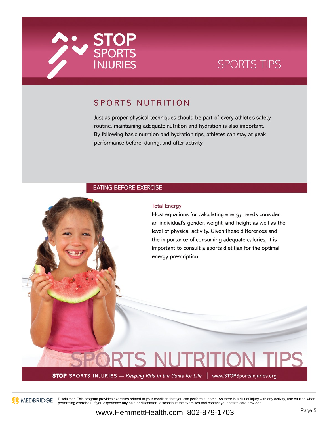

# **SPORTS TIPS**

## SPORTS NUTRITION

Just as proper physical techniques should be part of every athlete's safety routine, maintaining adequate nutrition and hydration is also important. By following basic nutrition and hydration tips, athletes can stay at peak performance before, during, and after activity.

### **EATING BEFORE EXERCISE**

### **Total Energy**

Most equations for calculating energy needs consider an individual's gender, weight, and height as well as the level of physical activity. Given these differences and the importance of consuming adequate calories, it is important to consult a sports dietitian for the optimal energy prescription.

# **NUTE STOP** SPORTS INJURIES — Keeping Kids in the Game for Life | www.STOPSportsInjuries.org



MEDBRIDGE Disclaimer: This program provides exercises related to your condition that you can perform at home. As there is a risk of injury with any activity, use caution when performing exercises. If you experience any pain or discomfort, discontinue the exercises and contact your health care provider.

www.HemmettHealth.com 802-879-1703